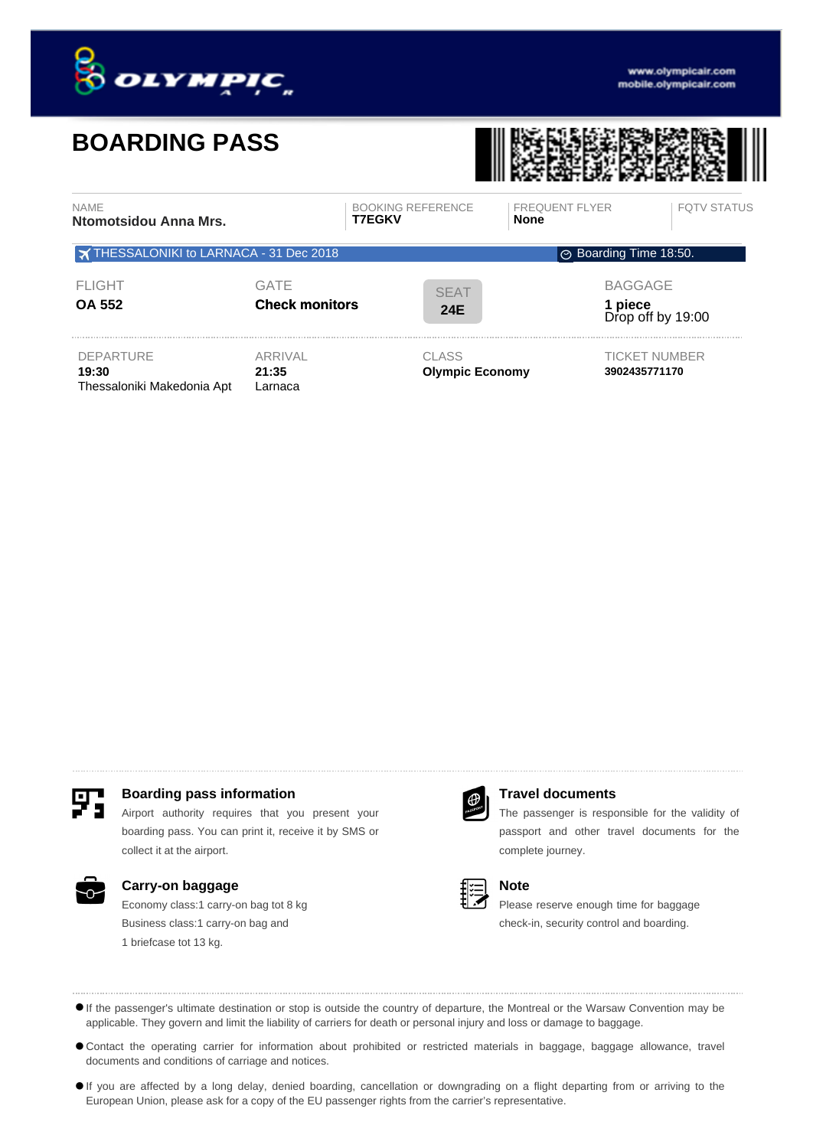

# **BOARDING PASS**



| <b>NAME</b><br>Ntomotsidou Anna Mrs.                            |                                      | <b>BOOKING REFERENCE</b><br><b>T7EGKV</b> | <b>FREQUENT FLYER</b><br><b>None</b> | <b>FOTV STATUS</b>                  |  |
|-----------------------------------------------------------------|--------------------------------------|-------------------------------------------|--------------------------------------|-------------------------------------|--|
| THESSALONIKI to LARNACA - 31 Dec 2018<br>⊙ Boarding Time 18:50. |                                      |                                           |                                      |                                     |  |
| <b>FLIGHT</b><br><b>OA 552</b>                                  | <b>GATE</b><br><b>Check monitors</b> | <b>SEAT</b><br><b>24E</b>                 | <b>BAGGAGE</b>                       | <b>1 piece</b><br>Drop off by 19:00 |  |
| <b>DEPARTURE</b><br>19:30<br>Thessaloniki Makedonia Apt         | <b>ARRIVAL</b><br>21:35<br>Larnaca   | <b>CLASS</b><br><b>Olympic Economy</b>    | 3902435771170                        | <b>TICKET NUMBER</b>                |  |



# **Boarding pass information Travel documents**

Airport authority requires that you present your boarding pass. You can print it, receive it by SMS or collect it at the airport.



### **Carry-on baggage**

Economy class:1 carry-on bag tot 8 kg Business class:1 carry-on bag and 1 briefcase tot 13 kg.



The passenger is responsible for the validity of passport and other travel documents for the complete journey.



# **Note**

Please reserve enough time for baggage check-in, security control and boarding.

If the passenger's ultimate destination or stop is outside the country of departure, the Montreal or the Warsaw Convention may be applicable. They govern and limit the liability of carriers for death or personal injury and loss or damage to baggage.

Contact the operating carrier for information about prohibited or restricted materials in baggage, baggage allowance, travel documents and conditions of carriage and notices.

If you are affected by a long delay, denied boarding, cancellation or downgrading on a flight departing from or arriving to the European Union, please ask for a copy of the EU passenger rights from the carrier's representative.